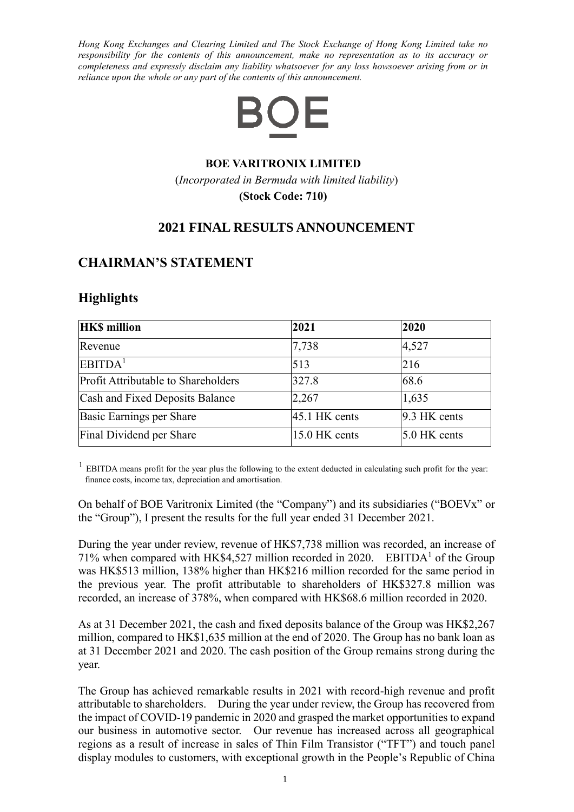*Hong Kong Exchanges and Clearing Limited and The Stock Exchange of Hong Kong Limited take no responsibility for the contents of this announcement, make no representation as to its accuracy or completeness and expressly disclaim any liability whatsoever for any loss howsoever arising from or in reliance upon the whole or any part of the contents of this announcement.*



#### **BOE VARITRONIX LIMITED**

(*Incorporated in Bermuda with limited liability*)

**(Stock Code: 710)**

### **2021 FINAL RESULTS ANNOUNCEMENT**

### **CHAIRMAN'S STATEMENT**

### **Highlights**

| <b>HKS</b> million                  | 2021            | 2020           |
|-------------------------------------|-----------------|----------------|
| Revenue                             | 7,738           | 4,527          |
| EBITDA <sup>1</sup>                 | 513             | 216            |
| Profit Attributable to Shareholders | 327.8           | 68.6           |
| Cash and Fixed Deposits Balance     | 2,267           | 1,635          |
| Basic Earnings per Share            | $45.1$ HK cents | 9.3 HK cents   |
| Final Dividend per Share            | 15.0 HK cents   | $5.0$ HK cents |

<sup>1</sup> EBITDA means profit for the year plus the following to the extent deducted in calculating such profit for the year: finance costs, income tax, depreciation and amortisation.

On behalf of BOE Varitronix Limited (the "Company") and its subsidiaries ("BOEVx" or the "Group"), I present the results for the full year ended 31 December 2021.

During the year under review, revenue of HK\$7,738 million was recorded, an increase of 71% when compared with HK\$4,527 million recorded in 2020. EBITDA<sup>1</sup> of the Group was HK\$513 million, 138% higher than HK\$216 million recorded for the same period in the previous year. The profit attributable to shareholders of HK\$327.8 million was recorded, an increase of 378%, when compared with HK\$68.6 million recorded in 2020.

As at 31 December 2021, the cash and fixed deposits balance of the Group was HK\$2,267 million, compared to HK\$1,635 million at the end of 2020. The Group has no bank loan as at 31 December 2021 and 2020. The cash position of the Group remains strong during the year.

The Group has achieved remarkable results in 2021 with record-high revenue and profit attributable to shareholders. During the year under review, the Group has recovered from the impact of COVID-19 pandemic in 2020 and grasped the market opportunities to expand our business in automotive sector. Our revenue has increased across all geographical regions as a result of increase in sales of Thin Film Transistor ("TFT") and touch panel display modules to customers, with exceptional growth in the People's Republic of China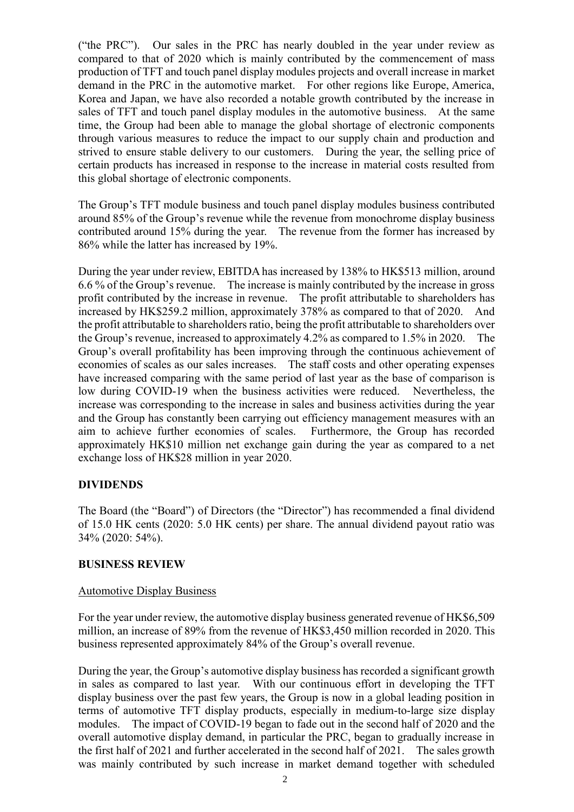("the PRC"). Our sales in the PRC has nearly doubled in the year under review as compared to that of 2020 which is mainly contributed by the commencement of mass production of TFT and touch panel display modules projects and overall increase in market demand in the PRC in the automotive market. For other regions like Europe, America, Korea and Japan, we have also recorded a notable growth contributed by the increase in sales of TFT and touch panel display modules in the automotive business. At the same time, the Group had been able to manage the global shortage of electronic components through various measures to reduce the impact to our supply chain and production and strived to ensure stable delivery to our customers. During the year, the selling price of certain products has increased in response to the increase in material costs resulted from this global shortage of electronic components.

The Group's TFT module business and touch panel display modules business contributed around 85% of the Group's revenue while the revenue from monochrome display business contributed around 15% during the year. The revenue from the former has increased by 86% while the latter has increased by 19%.

During the year under review, EBITDA has increased by 138% to HK\$513 million, around 6.6 % of the Group's revenue. The increase is mainly contributed by the increase in gross profit contributed by the increase in revenue. The profit attributable to shareholders has increased by HK\$259.2 million, approximately 378% as compared to that of 2020. And the profit attributable to shareholders ratio, being the profit attributable to shareholders over the Group's revenue, increased to approximately 4.2% as compared to 1.5% in 2020. The Group's overall profitability has been improving through the continuous achievement of economies of scales as our sales increases. The staff costs and other operating expenses have increased comparing with the same period of last year as the base of comparison is low during COVID-19 when the business activities were reduced. Nevertheless, the increase was corresponding to the increase in sales and business activities during the year and the Group has constantly been carrying out efficiency management measures with an aim to achieve further economies of scales. Furthermore, the Group has recorded approximately HK\$10 million net exchange gain during the year as compared to a net exchange loss of HK\$28 million in year 2020.

### **DIVIDENDS**

The Board (the "Board") of Directors (the "Director") has recommended a final dividend of 15.0 HK cents (2020: 5.0 HK cents) per share. The annual dividend payout ratio was 34% (2020: 54%).

#### **BUSINESS REVIEW**

#### Automotive Display Business

For the year under review, the automotive display business generated revenue of HK\$6,509 million, an increase of 89% from the revenue of HK\$3,450 million recorded in 2020. This business represented approximately 84% of the Group's overall revenue.

During the year, the Group's automotive display business has recorded a significant growth in sales as compared to last year. With our continuous effort in developing the TFT display business over the past few years, the Group is now in a global leading position in terms of automotive TFT display products, especially in medium-to-large size display modules. The impact of COVID-19 began to fade out in the second half of 2020 and the overall automotive display demand, in particular the PRC, began to gradually increase in the first half of 2021 and further accelerated in the second half of 2021. The sales growth was mainly contributed by such increase in market demand together with scheduled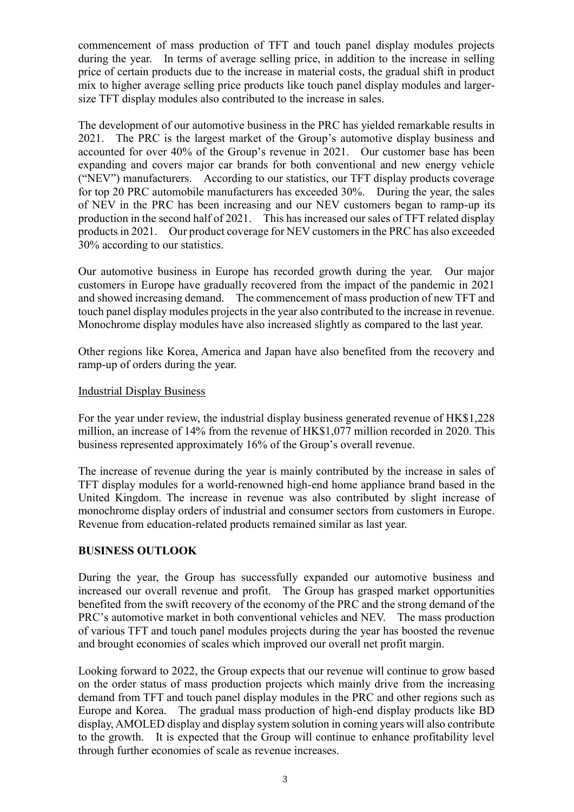commencement of mass production of TFT and touch panel display modules projects during the year. In terms of average selling price, in addition to the increase in selling price of certain products due to the increase in material costs, the gradual shift in product mix to higher average selling price products like touch panel display modules and largersize TFT display modules also contributed to the increase in sales.

The development of our automotive business in the PRC has yielded remarkable results in 2021. The PRC is the largest market of the Group's automotive display business and accounted for over 40% of the Group's revenue in 2021. Our customer base has been expanding and covers major car brands for both conventional and new energy vehicle ("NEV") manufacturers. According to our statistics, our TFT display products coverage for top 20 PRC automobile manufacturers has exceeded 30%. During the year, the sales of NEV in the PRC has been increasing and our NEV customers began to ramp-up its production in the second half of 2021. This has increased our sales of TFT related display products in 2021. Our product coverage for NEV customers in the PRC has also exceeded 30% according to our statistics.

Our automotive business in Europe has recorded growth during the year. Our major customers in Europe have gradually recovered from the impact of the pandemic in 2021 and showed increasing demand. The commencement of mass production of new TFT and touch panel display modules projects in the year also contributed to the increase in revenue. Monochrome display modules have also increased slightly as compared to the last year.

Other regions like Korea, America and Japan have also benefited from the recovery and ramp-up of orders during the year.

#### Industrial Display Business

For the year under review, the industrial display business generated revenue of HK\$1,228 million, an increase of 14% from the revenue of HK\$1,077 million recorded in 2020. This business represented approximately 16% of the Group's overall revenue.

The increase of revenue during the year is mainly contributed by the increase in sales of TFT display modules for a world-renowned high-end home appliance brand based in the United Kingdom. The increase in revenue was also contributed by slight increase of monochrome display orders of industrial and consumer sectors from customers in Europe. Revenue from education-related products remained similar as last year.

### **BUSINESS OUTLOOK**

During the year, the Group has successfully expanded our automotive business and increased our overall revenue and profit. The Group has grasped market opportunities benefited from the swift recovery of the economy of the PRC and the strong demand of the PRC's automotive market in both conventional vehicles and NEV. The mass production of various TFT and touch panel modules projects during the year has boosted the revenue and brought economies of scales which improved our overall net profit margin.

Looking forward to 2022, the Group expects that our revenue will continue to grow based on the order status of mass production projects which mainly drive from the increasing demand from TFT and touch panel display modules in the PRC and other regions such as Europe and Korea. The gradual mass production of high-end display products like BD display, AMOLED display and display system solution in coming years will also contribute to the growth. It is expected that the Group will continue to enhance profitability level through further economies of scale as revenue increases.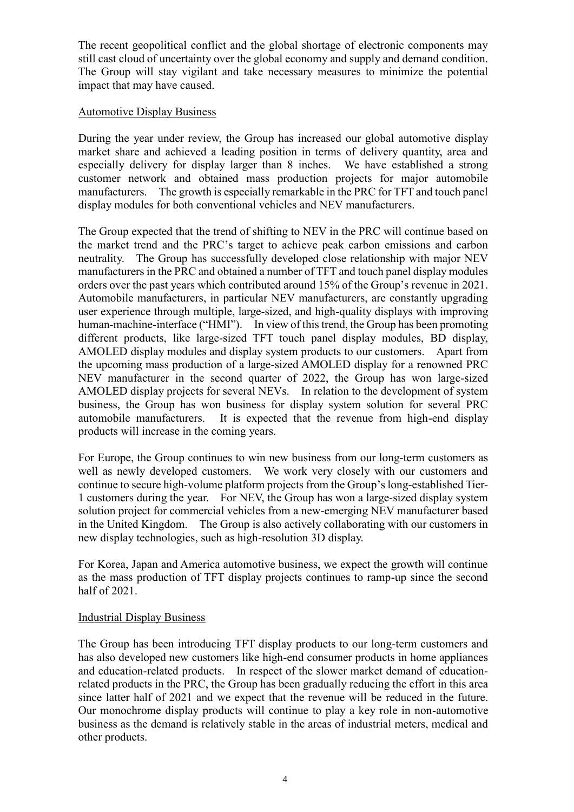The recent geopolitical conflict and the global shortage of electronic components may still cast cloud of uncertainty over the global economy and supply and demand condition. The Group will stay vigilant and take necessary measures to minimize the potential impact that may have caused.

#### Automotive Display Business

During the year under review, the Group has increased our global automotive display market share and achieved a leading position in terms of delivery quantity, area and especially delivery for display larger than 8 inches. We have established a strong customer network and obtained mass production projects for major automobile manufacturers. The growth is especially remarkable in the PRC for TFT and touch panel display modules for both conventional vehicles and NEV manufacturers.

The Group expected that the trend of shifting to NEV in the PRC will continue based on the market trend and the PRC's target to achieve peak carbon emissions and carbon neutrality. The Group has successfully developed close relationship with major NEV manufacturers in the PRC and obtained a number of TFT and touch panel display modules orders over the past years which contributed around 15% of the Group's revenue in 2021. Automobile manufacturers, in particular NEV manufacturers, are constantly upgrading user experience through multiple, large-sized, and high-quality displays with improving human-machine-interface ("HMI"). In view of this trend, the Group has been promoting different products, like large-sized TFT touch panel display modules, BD display, AMOLED display modules and display system products to our customers. Apart from the upcoming mass production of a large-sized AMOLED display for a renowned PRC NEV manufacturer in the second quarter of 2022, the Group has won large-sized AMOLED display projects for several NEVs. In relation to the development of system business, the Group has won business for display system solution for several PRC automobile manufacturers. It is expected that the revenue from high-end display products will increase in the coming years.

For Europe, the Group continues to win new business from our long-term customers as well as newly developed customers. We work very closely with our customers and continue to secure high-volume platform projects from the Group's long-established Tier-1 customers during the year. For NEV, the Group has won a large-sized display system solution project for commercial vehicles from a new-emerging NEV manufacturer based in the United Kingdom. The Group is also actively collaborating with our customers in new display technologies, such as high-resolution 3D display.

For Korea, Japan and America automotive business, we expect the growth will continue as the mass production of TFT display projects continues to ramp-up since the second half of 2021.

### Industrial Display Business

The Group has been introducing TFT display products to our long-term customers and has also developed new customers like high-end consumer products in home appliances and education-related products. In respect of the slower market demand of educationrelated products in the PRC, the Group has been gradually reducing the effort in this area since latter half of 2021 and we expect that the revenue will be reduced in the future. Our monochrome display products will continue to play a key role in non-automotive business as the demand is relatively stable in the areas of industrial meters, medical and other products.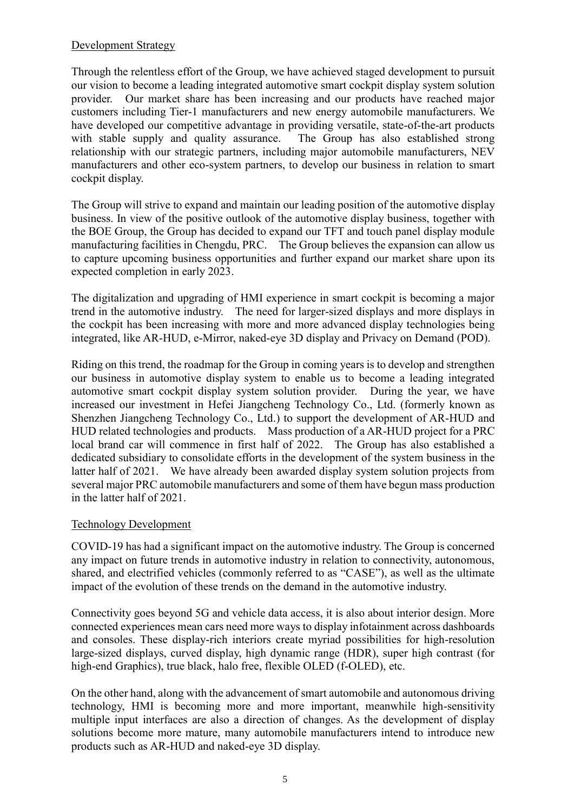### Development Strategy

Through the relentless effort of the Group, we have achieved staged development to pursuit our vision to become a leading integrated automotive smart cockpit display system solution provider. Our market share has been increasing and our products have reached major customers including Tier-1 manufacturers and new energy automobile manufacturers. We have developed our competitive advantage in providing versatile, state-of-the-art products with stable supply and quality assurance. The Group has also established strong relationship with our strategic partners, including major automobile manufacturers, NEV manufacturers and other eco-system partners, to develop our business in relation to smart cockpit display.

The Group will strive to expand and maintain our leading position of the automotive display business. In view of the positive outlook of the automotive display business, together with the BOE Group, the Group has decided to expand our TFT and touch panel display module manufacturing facilities in Chengdu, PRC. The Group believes the expansion can allow us to capture upcoming business opportunities and further expand our market share upon its expected completion in early 2023.

The digitalization and upgrading of HMI experience in smart cockpit is becoming a major trend in the automotive industry. The need for larger-sized displays and more displays in the cockpit has been increasing with more and more advanced display technologies being integrated, like AR-HUD, e-Mirror, naked-eye 3D display and Privacy on Demand (POD).

Riding on this trend, the roadmap for the Group in coming years is to develop and strengthen our business in automotive display system to enable us to become a leading integrated automotive smart cockpit display system solution provider. During the year, we have increased our investment in Hefei Jiangcheng Technology Co., Ltd. (formerly known as Shenzhen Jiangcheng Technology Co., Ltd.) to support the development of AR-HUD and HUD related technologies and products. Mass production of a AR-HUD project for a PRC local brand car will commence in first half of 2022. The Group has also established a dedicated subsidiary to consolidate efforts in the development of the system business in the latter half of 2021. We have already been awarded display system solution projects from several major PRC automobile manufacturers and some of them have begun mass production in the latter half of 2021.

### Technology Development

COVID-19 has had a significant impact on the automotive industry. The Group is concerned any impact on future trends in automotive industry in relation to connectivity, autonomous, shared, and electrified vehicles (commonly referred to as "CASE"), as well as the ultimate impact of the evolution of these trends on the demand in the automotive industry.

Connectivity goes beyond 5G and vehicle data access, it is also about interior design. More connected experiences mean cars need more ways to display infotainment across dashboards and consoles. These display-rich interiors create myriad possibilities for high-resolution large-sized displays, curved display, high dynamic range (HDR), super high contrast (for high-end Graphics), true black, halo free, flexible OLED (f-OLED), etc.

On the other hand, along with the advancement of smart automobile and autonomous driving technology, HMI is becoming more and more important, meanwhile high-sensitivity multiple input interfaces are also a direction of changes. As the development of display solutions become more mature, many automobile manufacturers intend to introduce new products such as AR-HUD and naked-eye 3D display.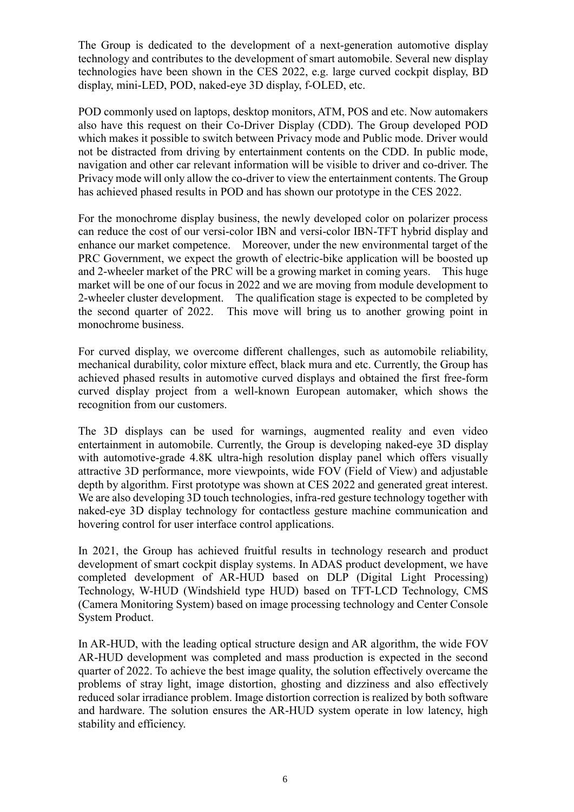The Group is dedicated to the development of a next-generation automotive display technology and contributes to the development of smart automobile. Several new display technologies have been shown in the CES 2022, e.g. large curved cockpit display, BD display, mini-LED, POD, naked-eye 3D display, f-OLED, etc.

POD commonly used on laptops, desktop monitors, ATM, POS and etc. Now automakers also have this request on their Co-Driver Display (CDD). The Group developed POD which makes it possible to switch between Privacy mode and Public mode. Driver would not be distracted from driving by entertainment contents on the CDD. In public mode, navigation and other car relevant information will be visible to driver and co-driver. The Privacy mode will only allow the co-driver to view the entertainment contents. The Group has achieved phased results in POD and has shown our prototype in the CES 2022.

For the monochrome display business, the newly developed color on polarizer process can reduce the cost of our versi-color IBN and versi-color IBN-TFT hybrid display and enhance our market competence. Moreover, under the new environmental target of the PRC Government, we expect the growth of electric-bike application will be boosted up and 2-wheeler market of the PRC will be a growing market in coming years. This huge market will be one of our focus in 2022 and we are moving from module development to 2-wheeler cluster development. The qualification stage is expected to be completed by the second quarter of 2022. This move will bring us to another growing point in monochrome business.

For curved display, we overcome different challenges, such as automobile reliability, mechanical durability, color mixture effect, black mura and etc. Currently, the Group has achieved phased results in automotive curved displays and obtained the first free-form curved display project from a well-known European automaker, which shows the recognition from our customers.

The 3D displays can be used for warnings, augmented reality and even video entertainment in automobile. Currently, the Group is developing naked-eye 3D display with automotive-grade 4.8K ultra-high resolution display panel which offers visually attractive 3D performance, more viewpoints, wide FOV (Field of View) and adjustable depth by algorithm. First prototype was shown at CES 2022 and generated great interest. We are also developing 3D touch technologies, infra-red gesture technology together with naked-eye 3D display technology for contactless gesture machine communication and hovering control for user interface control applications.

In 2021, the Group has achieved fruitful results in technology research and product development of smart cockpit display systems. In ADAS product development, we have completed development of AR-HUD based on DLP (Digital Light Processing) Technology, W-HUD (Windshield type HUD) based on TFT-LCD Technology, CMS (Camera Monitoring System) based on image processing technology and Center Console System Product.

In AR-HUD, with the leading optical structure design and AR algorithm, the wide FOV AR-HUD development was completed and mass production is expected in the second quarter of 2022. To achieve the best image quality, the solution effectively overcame the problems of stray light, image distortion, ghosting and dizziness and also effectively reduced solar irradiance problem. Image distortion correction is realized by both software and hardware. The solution ensures the AR-HUD system operate in low latency, high stability and efficiency.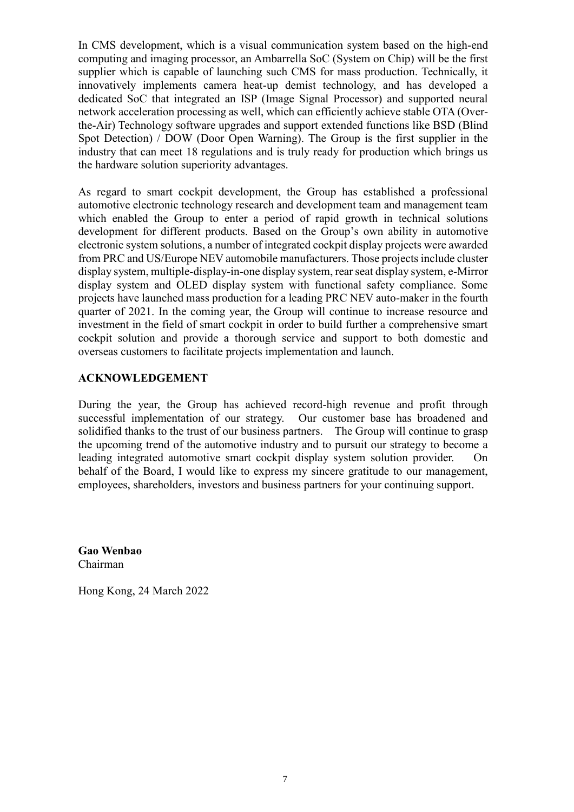In CMS development, which is a visual communication system based on the high-end computing and imaging processor, an Ambarrella SoC (System on Chip) will be the first supplier which is capable of launching such CMS for mass production. Technically, it innovatively implements camera heat-up demist technology, and has developed a dedicated SoC that integrated an ISP (Image Signal Processor) and supported neural network acceleration processing as well, which can efficiently achieve stable OTA (Overthe-Air) Technology software upgrades and support extended functions like BSD (Blind Spot Detection) / DOW (Door Open Warning). The Group is the first supplier in the industry that can meet 18 regulations and is truly ready for production which brings us the hardware solution superiority advantages.

As regard to smart cockpit development, the Group has established a professional automotive electronic technology research and development team and management team which enabled the Group to enter a period of rapid growth in technical solutions development for different products. Based on the Group's own ability in automotive electronic system solutions, a number of integrated cockpit display projects were awarded from PRC and US/Europe NEV automobile manufacturers. Those projects include cluster display system, multiple-display-in-one display system, rear seat display system, e-Mirror display system and OLED display system with functional safety compliance. Some projects have launched mass production for a leading PRC NEV auto-maker in the fourth quarter of 2021. In the coming year, the Group will continue to increase resource and investment in the field of smart cockpit in order to build further a comprehensive smart cockpit solution and provide a thorough service and support to both domestic and overseas customers to facilitate projects implementation and launch.

#### **ACKNOWLEDGEMENT**

During the year, the Group has achieved record-high revenue and profit through successful implementation of our strategy. Our customer base has broadened and solidified thanks to the trust of our business partners. The Group will continue to grasp the upcoming trend of the automotive industry and to pursuit our strategy to become a leading integrated automotive smart cockpit display system solution provider. On behalf of the Board, I would like to express my sincere gratitude to our management, employees, shareholders, investors and business partners for your continuing support.

**Gao Wenbao** Chairman

Hong Kong, 24 March 2022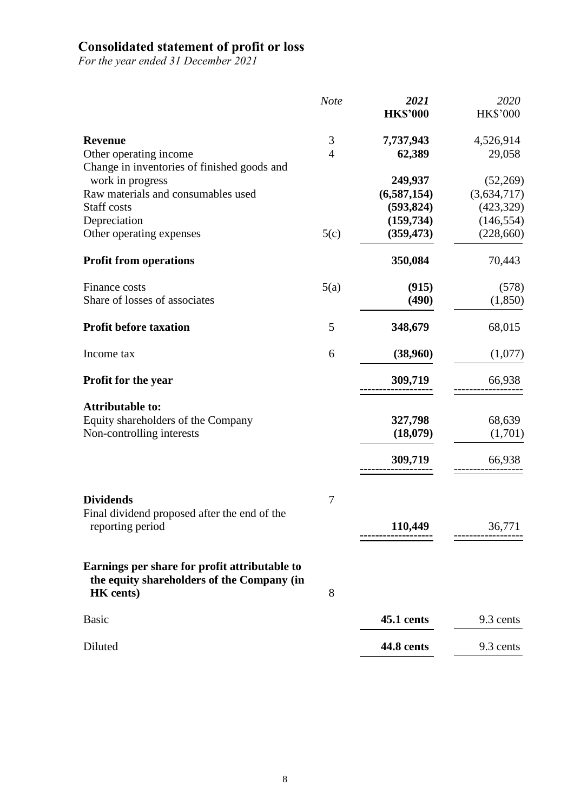## **Consolidated statement of profit or loss**

*For the year ended 31 December 2021*

|                                                                | <b>Note</b>    | 2021            | 2020            |
|----------------------------------------------------------------|----------------|-----------------|-----------------|
|                                                                |                | <b>HK\$'000</b> | <b>HK\$'000</b> |
| <b>Revenue</b>                                                 | 3              | 7,737,943       | 4,526,914       |
| Other operating income                                         | $\overline{4}$ | 62,389          | 29,058          |
| Change in inventories of finished goods and                    |                |                 |                 |
| work in progress                                               |                | 249,937         | (52,269)        |
| Raw materials and consumables used                             |                | (6,587,154)     | (3,634,717)     |
| Staff costs                                                    |                | (593, 824)      | (423, 329)      |
| Depreciation                                                   |                | (159, 734)      | (146, 554)      |
| Other operating expenses                                       | 5(c)           | (359, 473)      | (228, 660)      |
| <b>Profit from operations</b>                                  |                | 350,084         | 70,443          |
| Finance costs                                                  | 5(a)           | (915)           | (578)           |
| Share of losses of associates                                  |                | (490)           | (1, 850)        |
| <b>Profit before taxation</b>                                  | 5              | 348,679         | 68,015          |
| Income tax                                                     | 6              | (38,960)        | (1,077)         |
| <b>Profit for the year</b>                                     |                | 309,719         | 66,938          |
| <b>Attributable to:</b>                                        |                |                 |                 |
| Equity shareholders of the Company                             |                | 327,798         | 68,639          |
| Non-controlling interests                                      |                | (18,079)        | (1,701)         |
|                                                                |                | 309,719         | 66,938          |
|                                                                |                |                 |                 |
| <b>Dividends</b>                                               | 7              |                 |                 |
| Final dividend proposed after the end of the                   |                |                 |                 |
| reporting period                                               |                | 110,449         | 36,771          |
| Earnings per share for profit attributable to                  |                |                 |                 |
| the equity shareholders of the Company (in<br><b>HK</b> cents) | 8              |                 |                 |
| <b>Basic</b>                                                   |                | 45.1 cents      | 9.3 cents       |
| Diluted                                                        |                | 44.8 cents      | 9.3 cents       |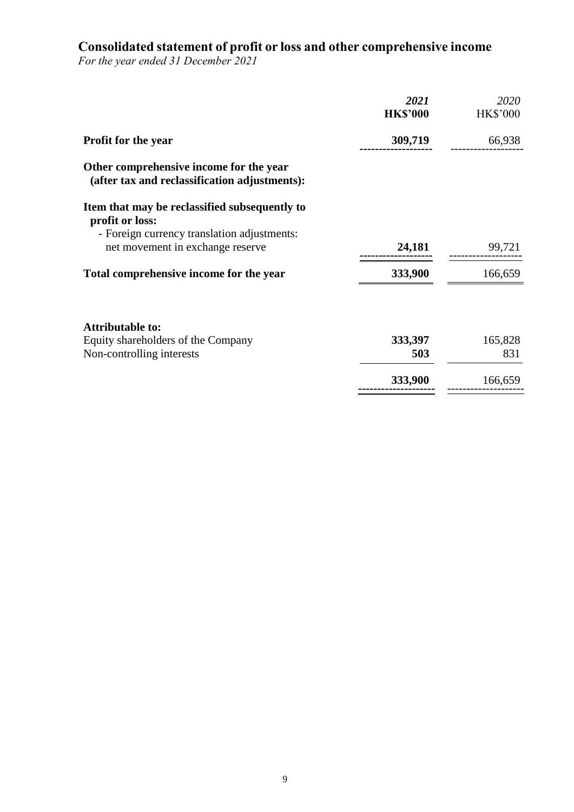## **Consolidated statement of profit or loss and other comprehensive income**

*For the year ended 31 December 2021*

|                                                                                          | 2021<br><b>HK\$'000</b> | 2020<br><b>HK\$'000</b> |
|------------------------------------------------------------------------------------------|-------------------------|-------------------------|
| <b>Profit for the year</b>                                                               | 309,719                 | 66,938                  |
| Other comprehensive income for the year<br>(after tax and reclassification adjustments): |                         |                         |
| Item that may be reclassified subsequently to<br>profit or loss:                         |                         |                         |
| - Foreign currency translation adjustments:<br>net movement in exchange reserve          | 24,181                  | 99,721                  |
| Total comprehensive income for the year                                                  | 333,900                 | 166,659                 |
| <b>Attributable to:</b>                                                                  |                         |                         |
| Equity shareholders of the Company                                                       | 333,397                 | 165,828                 |
| Non-controlling interests                                                                | 503                     | 831                     |
|                                                                                          | 333,900                 | 166,659                 |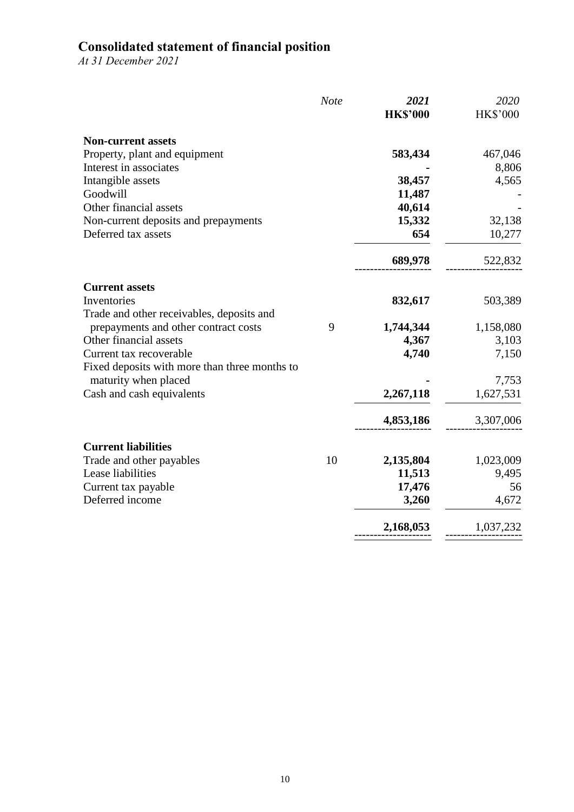## **Consolidated statement of financial position**

*At 31 December 2021*

|                                               | <b>Note</b> | 2021<br><b>HK\$'000</b> | 2020<br><b>HK\$'000</b> |
|-----------------------------------------------|-------------|-------------------------|-------------------------|
| <b>Non-current assets</b>                     |             |                         |                         |
| Property, plant and equipment                 |             | 583,434                 | 467,046                 |
| Interest in associates                        |             |                         | 8,806                   |
| Intangible assets                             |             | 38,457                  | 4,565                   |
| Goodwill                                      |             | 11,487                  |                         |
| Other financial assets                        |             | 40,614                  |                         |
| Non-current deposits and prepayments          |             | 15,332                  | 32,138                  |
| Deferred tax assets                           |             | 654                     | 10,277                  |
|                                               |             | 689,978                 | 522,832                 |
| <b>Current assets</b>                         |             |                         |                         |
| Inventories                                   |             | 832,617                 | 503,389                 |
| Trade and other receivables, deposits and     |             |                         |                         |
| prepayments and other contract costs          | 9           | 1,744,344               | 1,158,080               |
| Other financial assets                        |             | 4,367                   | 3,103                   |
| Current tax recoverable                       |             | 4,740                   | 7,150                   |
| Fixed deposits with more than three months to |             |                         |                         |
| maturity when placed                          |             |                         | 7,753                   |
| Cash and cash equivalents                     |             | 2,267,118               | 1,627,531               |
|                                               |             | 4,853,186               | 3,307,006               |
| <b>Current liabilities</b>                    |             |                         |                         |
| Trade and other payables                      | 10          | 2,135,804               | 1,023,009               |
| Lease liabilities                             |             | 11,513                  | 9,495                   |
| Current tax payable                           |             | 17,476                  | 56                      |
| Deferred income                               |             | 3,260                   | 4,672                   |
|                                               |             | 2,168,053               | 1,037,232               |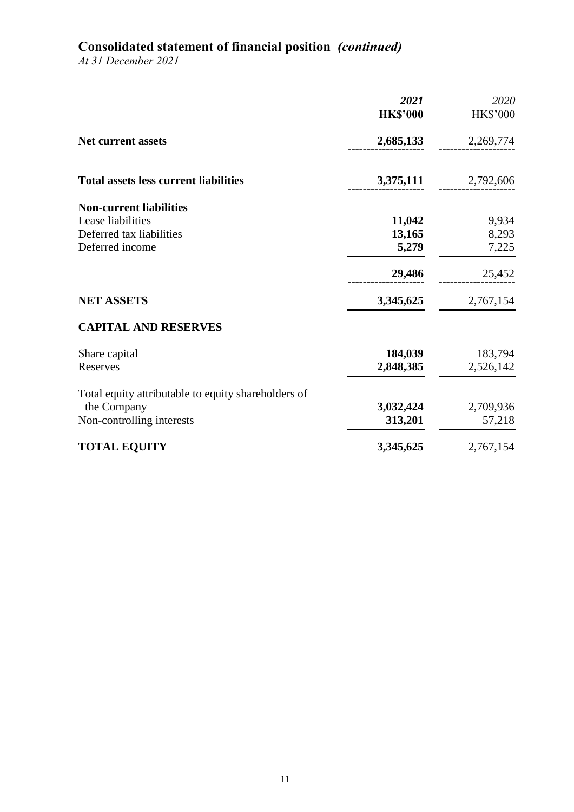# **Consolidated statement of financial position** *(continued)*

*At 31 December 2021*

|                                                     | 2021<br><b>HK\$'000</b> | 2020<br>HK\$'000 |
|-----------------------------------------------------|-------------------------|------------------|
| <b>Net current assets</b>                           | 2,685,133               | 2,269,774        |
| <b>Total assets less current liabilities</b>        | 3,375,111               | 2,792,606        |
| <b>Non-current liabilities</b>                      |                         |                  |
| Lease liabilities                                   | 11,042                  | 9,934            |
| Deferred tax liabilities                            | 13,165                  | 8,293            |
| Deferred income                                     | 5,279                   | 7,225            |
|                                                     | 29,486                  | 25,452           |
| <b>NET ASSETS</b>                                   | 3,345,625               | 2,767,154        |
| <b>CAPITAL AND RESERVES</b>                         |                         |                  |
| Share capital                                       | 184,039                 | 183,794          |
| Reserves                                            | 2,848,385               | 2,526,142        |
| Total equity attributable to equity shareholders of |                         |                  |
| the Company                                         | 3,032,424               | 2,709,936        |
| Non-controlling interests                           | 313,201                 | 57,218           |
| <b>TOTAL EQUITY</b>                                 | 3,345,625               | 2,767,154        |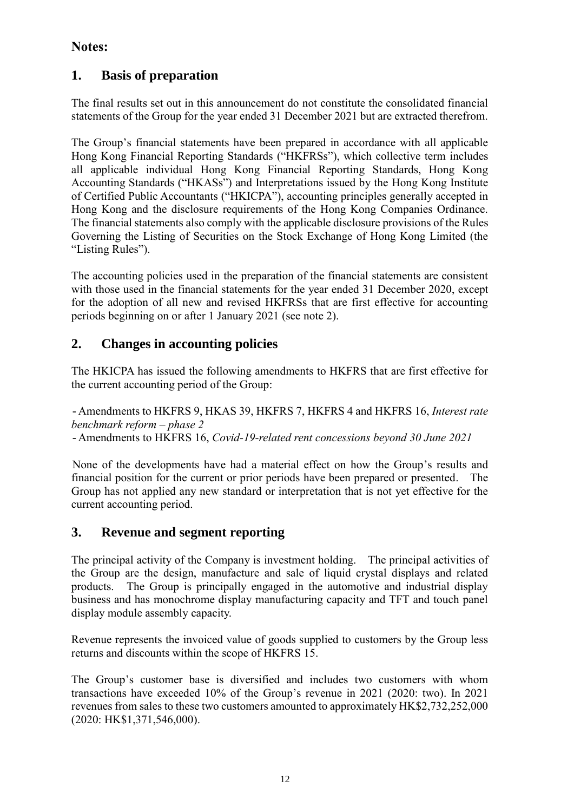## **Notes:**

# **1. Basis of preparation**

The final results set out in this announcement do not constitute the consolidated financial statements of the Group for the year ended 31 December 2021 but are extracted therefrom.

The Group's financial statements have been prepared in accordance with all applicable Hong Kong Financial Reporting Standards ("HKFRSs"), which collective term includes all applicable individual Hong Kong Financial Reporting Standards, Hong Kong Accounting Standards ("HKASs") and Interpretations issued by the Hong Kong Institute of Certified Public Accountants ("HKICPA"), accounting principles generally accepted in Hong Kong and the disclosure requirements of the Hong Kong Companies Ordinance. The financial statements also comply with the applicable disclosure provisions of the Rules Governing the Listing of Securities on the Stock Exchange of Hong Kong Limited (the "Listing Rules").

The accounting policies used in the preparation of the financial statements are consistent with those used in the financial statements for the year ended 31 December 2020, except for the adoption of all new and revised HKFRSs that are first effective for accounting periods beginning on or after 1 January 2021 (see note 2).

## **2. Changes in accounting policies**

The HKICPA has issued the following amendments to HKFRS that are first effective for the current accounting period of the Group:

- Amendments to HKFRS 9, HKAS 39, HKFRS 7, HKFRS 4 and HKFRS 16, *Interest rate benchmark reform – phase 2* - Amendments to HKFRS 16, *Covid-19-related rent concessions beyond 30 June 2021*

None of the developments have had a material effect on how the Group's results and financial position for the current or prior periods have been prepared or presented. The Group has not applied any new standard or interpretation that is not yet effective for the current accounting period.

## **3. Revenue and segment reporting**

The principal activity of the Company is investment holding. The principal activities of the Group are the design, manufacture and sale of liquid crystal displays and related products. The Group is principally engaged in the automotive and industrial display business and has monochrome display manufacturing capacity and TFT and touch panel display module assembly capacity.

Revenue represents the invoiced value of goods supplied to customers by the Group less returns and discounts within the scope of HKFRS 15.

The Group's customer base is diversified and includes two customers with whom transactions have exceeded 10% of the Group's revenue in 2021 (2020: two). In 2021 revenues from sales to these two customers amounted to approximately HK\$2,732,252,000 (2020: HK\$1,371,546,000).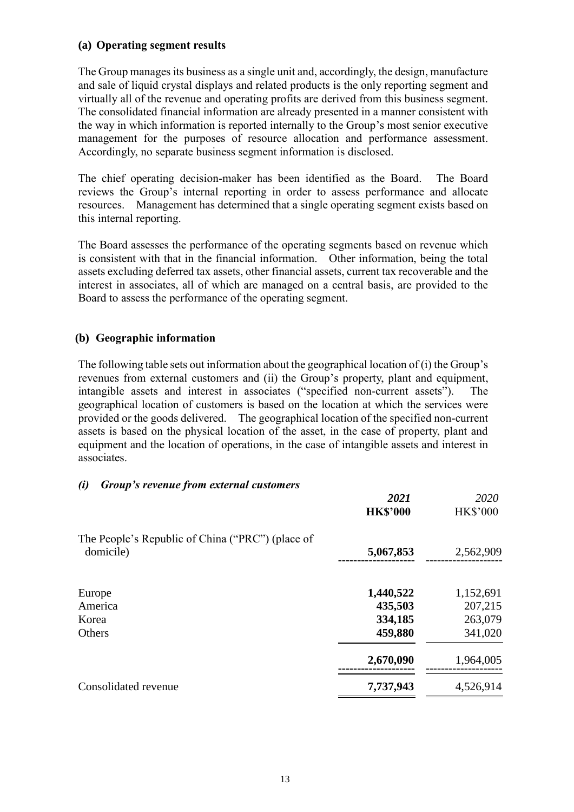### **(a) Operating segment results**

The Group manages its business as a single unit and, accordingly, the design, manufacture and sale of liquid crystal displays and related products is the only reporting segment and virtually all of the revenue and operating profits are derived from this business segment. The consolidated financial information are already presented in a manner consistent with the way in which information is reported internally to the Group's most senior executive management for the purposes of resource allocation and performance assessment. Accordingly, no separate business segment information is disclosed.

The chief operating decision-maker has been identified as the Board. The Board reviews the Group's internal reporting in order to assess performance and allocate resources. Management has determined that a single operating segment exists based on this internal reporting.

The Board assesses the performance of the operating segments based on revenue which is consistent with that in the financial information. Other information, being the total assets excluding deferred tax assets, other financial assets, current tax recoverable and the interest in associates, all of which are managed on a central basis, are provided to the Board to assess the performance of the operating segment.

#### **(b) Geographic information**

The following table sets out information about the geographical location of (i) the Group's revenues from external customers and (ii) the Group's property, plant and equipment, intangible assets and interest in associates ("specified non-current assets"). The geographical location of customers is based on the location at which the services were provided or the goods delivered. The geographical location of the specified non-current assets is based on the physical location of the asset, in the case of property, plant and equipment and the location of operations, in the case of intangible assets and interest in associates.

#### *(i) Group's revenue from external customers*

|                                                               | 2021<br><b>HK\$'000</b> | 2020<br><b>HK\$'000</b> |
|---------------------------------------------------------------|-------------------------|-------------------------|
| The People's Republic of China ("PRC") (place of<br>domicile) | 5,067,853               | 2,562,909               |
| Europe                                                        | 1,440,522               | 1,152,691               |
| America                                                       | 435,503                 | 207,215                 |
| Korea                                                         | 334,185                 | 263,079                 |
| Others                                                        | 459,880                 | 341,020                 |
|                                                               | 2,670,090               | 1,964,005               |
| Consolidated revenue                                          | 7,737,943               | 4,526,914               |
|                                                               |                         |                         |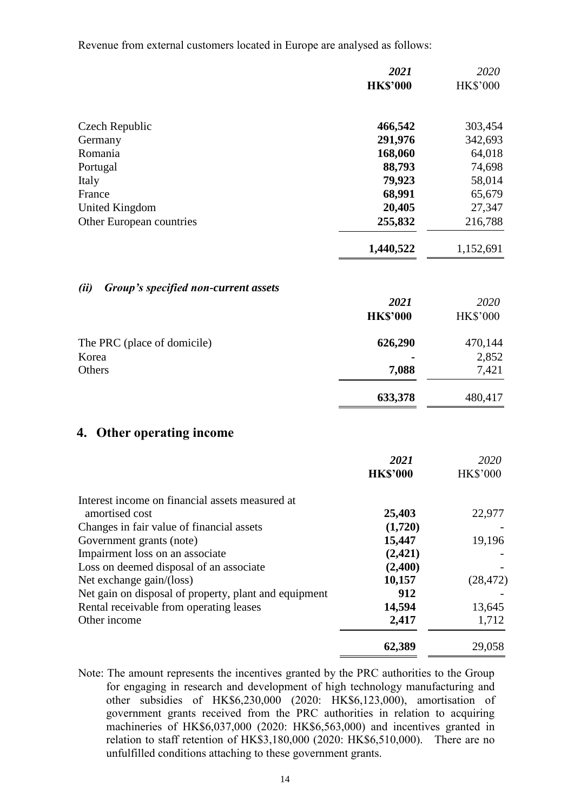Revenue from external customers located in Europe are analysed as follows:

|                                                                                   | 2021              | 2020            |
|-----------------------------------------------------------------------------------|-------------------|-----------------|
|                                                                                   | <b>HK\$'000</b>   | HK\$'000        |
| Czech Republic                                                                    | 466,542           | 303,454         |
| Germany                                                                           | 291,976           | 342,693         |
| Romania                                                                           | 168,060           | 64,018          |
| Portugal                                                                          | 88,793            | 74,698          |
| Italy                                                                             | 79,923            | 58,014          |
| France                                                                            | 68,991            | 65,679          |
| <b>United Kingdom</b>                                                             | 20,405            | 27,347          |
| Other European countries                                                          | 255,832           | 216,788         |
|                                                                                   | 1,440,522         | 1,152,691       |
| Group's specified non-current assets<br>(ii)                                      |                   |                 |
|                                                                                   | 2021              | 2020            |
|                                                                                   | <b>HK\$'000</b>   | HK\$'000        |
| The PRC (place of domicile)                                                       | 626,290           | 470,144         |
| Korea                                                                             |                   | 2,852           |
| Others                                                                            | 7,088             | 7,421           |
|                                                                                   | 633,378           | 480,417         |
| 4. Other operating income                                                         |                   |                 |
|                                                                                   | 2021              | 2020            |
|                                                                                   | <b>HK\$'000</b>   | <b>HK\$'000</b> |
| Interest income on financial assets measured at                                   |                   |                 |
| amortised cost                                                                    | 25,403            | 22,977          |
| Changes in fair value of financial assets                                         | (1,720)           |                 |
| Government grants (note)                                                          | 15,447            | 19,196          |
| Impairment loss on an associate                                                   | (2, 421)          |                 |
| Loss on deemed disposal of an associate                                           | (2,400)<br>10,157 |                 |
| Net exchange gain/(loss)<br>Net gain on disposal of property, plant and equipment | 912               | (28, 472)       |
| Rental receivable from operating leases                                           | 14,594            | 13,645          |
|                                                                                   |                   |                 |

Note: The amount represents the incentives granted by the PRC authorities to the Group for engaging in research and development of high technology manufacturing and other subsidies of HK\$6,230,000 (2020: HK\$6,123,000), amortisation of government grants received from the PRC authorities in relation to acquiring machineries of HK\$6,037,000 (2020: HK\$6,563,000) and incentives granted in relation to staff retention of HK\$3,180,000 (2020: HK\$6,510,000). There are no unfulfilled conditions attaching to these government grants.

Other income 2,417 1,712

**62,389** 29,058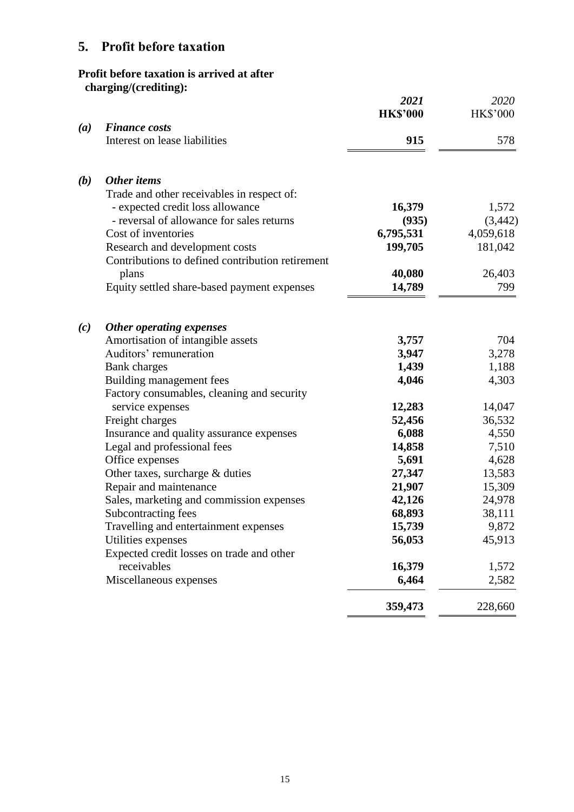# **5. Profit before taxation**

## **Profit before taxation is arrived at after charging/(crediting):**

|     |                                                  | 2021<br><b>HK\$'000</b> | 2020<br><b>HK\$'000</b> |
|-----|--------------------------------------------------|-------------------------|-------------------------|
| (a) | <b>Finance costs</b>                             |                         |                         |
|     | Interest on lease liabilities                    | 915                     | 578                     |
| (b) | Other items                                      |                         |                         |
|     | Trade and other receivables in respect of:       |                         |                         |
|     | - expected credit loss allowance                 | 16,379                  | 1,572                   |
|     | - reversal of allowance for sales returns        | (935)                   | (3, 442)                |
|     | Cost of inventories                              | 6,795,531               | 4,059,618               |
|     | Research and development costs                   | 199,705                 | 181,042                 |
|     | Contributions to defined contribution retirement |                         |                         |
|     | plans                                            | 40,080                  | 26,403                  |
|     | Equity settled share-based payment expenses      | 14,789                  | 799                     |
| (c) | Other operating expenses                         |                         |                         |
|     | Amortisation of intangible assets                | 3,757                   | 704                     |
|     | Auditors' remuneration                           | 3,947                   | 3,278                   |
|     | <b>Bank</b> charges                              | 1,439                   | 1,188                   |
|     | Building management fees                         | 4,046                   | 4,303                   |
|     | Factory consumables, cleaning and security       |                         |                         |
|     | service expenses                                 | 12,283                  | 14,047                  |
|     | Freight charges                                  | 52,456                  | 36,532                  |
|     | Insurance and quality assurance expenses         | 6,088                   | 4,550                   |
|     | Legal and professional fees                      | 14,858                  | 7,510                   |
|     | Office expenses                                  | 5,691                   | 4,628                   |
|     | Other taxes, surcharge & duties                  | 27,347                  | 13,583                  |
|     | Repair and maintenance                           | 21,907                  | 15,309                  |
|     | Sales, marketing and commission expenses         | 42,126                  | 24,978                  |
|     | Subcontracting fees                              | 68,893                  | 38,111                  |
|     | Travelling and entertainment expenses            | 15,739                  | 9,872                   |
|     | Utilities expenses                               | 56,053                  | 45,913                  |
|     | Expected credit losses on trade and other        |                         |                         |
|     | receivables                                      | 16,379                  | 1,572                   |
|     | Miscellaneous expenses                           | 6,464                   | 2,582                   |
|     |                                                  | 359,473                 | 228,660                 |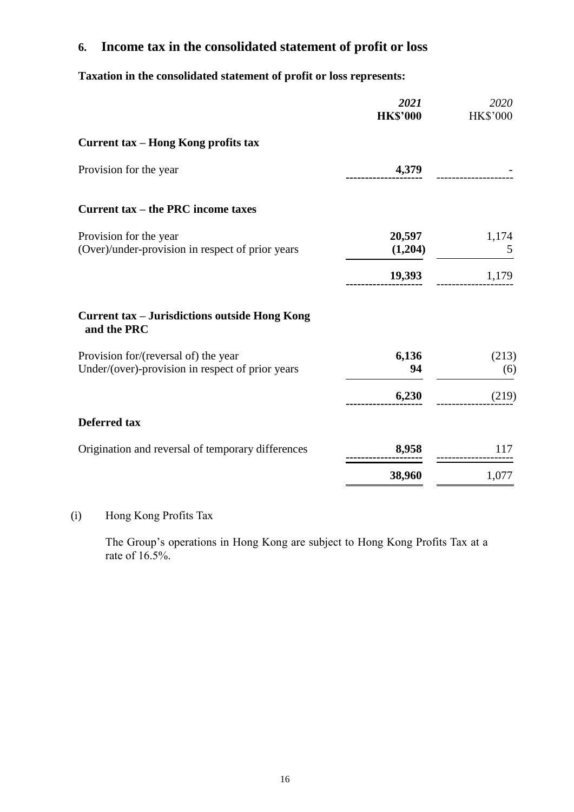# **6. Income tax in the consolidated statement of profit or loss**

**Taxation in the consolidated statement of profit or loss represents:**

|                                                                                          | 2021<br><b>HK\$'000</b> | 2020<br><b>HK\$'000</b> |
|------------------------------------------------------------------------------------------|-------------------------|-------------------------|
| Current tax – Hong Kong profits tax                                                      |                         |                         |
| Provision for the year                                                                   | 4,379                   |                         |
| Current tax – the PRC income taxes                                                       |                         |                         |
| Provision for the year<br>(Over)/under-provision in respect of prior years               | 20,597<br>(1,204)       | 1,174<br>5              |
|                                                                                          | 19,393                  | 1,179                   |
| <b>Current tax - Jurisdictions outside Hong Kong</b><br>and the PRC                      |                         |                         |
| Provision for/(reversal of) the year<br>Under/(over)-provision in respect of prior years | 6,136<br>94             | (213)<br>(6)            |
|                                                                                          | 6,230                   | (219)                   |
| <b>Deferred tax</b>                                                                      |                         |                         |
| Origination and reversal of temporary differences                                        | 8,958                   | 117                     |
|                                                                                          | 38,960                  | 1,077                   |

# (i) Hong Kong Profits Tax

The Group's operations in Hong Kong are subject to Hong Kong Profits Tax at a rate of 16.5%.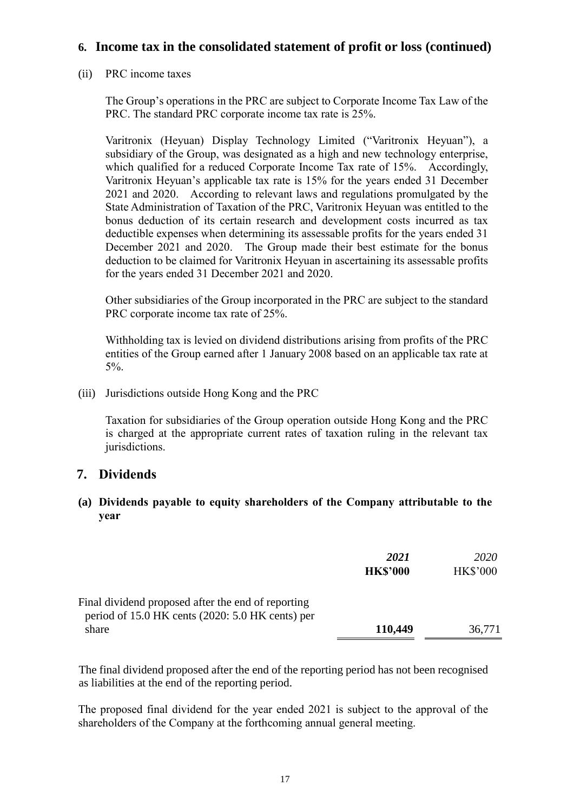## **6. Income tax in the consolidated statement of profit or loss (continued)**

### (ii) PRC income taxes

The Group's operations in the PRC are subject to Corporate Income Tax Law of the PRC. The standard PRC corporate income tax rate is 25%.

Varitronix (Heyuan) Display Technology Limited ("Varitronix Heyuan"), a subsidiary of the Group, was designated as a high and new technology enterprise, which qualified for a reduced Corporate Income Tax rate of 15%. Accordingly, Varitronix Heyuan's applicable tax rate is 15% for the years ended 31 December 2021 and 2020. According to relevant laws and regulations promulgated by the State Administration of Taxation of the PRC, Varitronix Heyuan was entitled to the bonus deduction of its certain research and development costs incurred as tax deductible expenses when determining its assessable profits for the years ended 31 December 2021 and 2020. The Group made their best estimate for the bonus deduction to be claimed for Varitronix Heyuan in ascertaining its assessable profits for the years ended 31 December 2021 and 2020.

Other subsidiaries of the Group incorporated in the PRC are subject to the standard PRC corporate income tax rate of 25%.

Withholding tax is levied on dividend distributions arising from profits of the PRC entities of the Group earned after 1 January 2008 based on an applicable tax rate at 5%.

(iii) Jurisdictions outside Hong Kong and the PRC

Taxation for subsidiaries of the Group operation outside Hong Kong and the PRC is charged at the appropriate current rates of taxation ruling in the relevant tax jurisdictions.

## **7. Dividends**

### **(a) Dividends payable to equity shareholders of the Company attributable to the year**

|                                                    | 2021            | 2020            |
|----------------------------------------------------|-----------------|-----------------|
|                                                    | <b>HK\$'000</b> | <b>HK\$'000</b> |
| Final dividend proposed after the end of reporting |                 |                 |
| period of 15.0 HK cents (2020: 5.0 HK cents) per   |                 |                 |
| share                                              | 110,449         | 36,771          |

The final dividend proposed after the end of the reporting period has not been recognised as liabilities at the end of the reporting period.

The proposed final dividend for the year ended 2021 is subject to the approval of the shareholders of the Company at the forthcoming annual general meeting.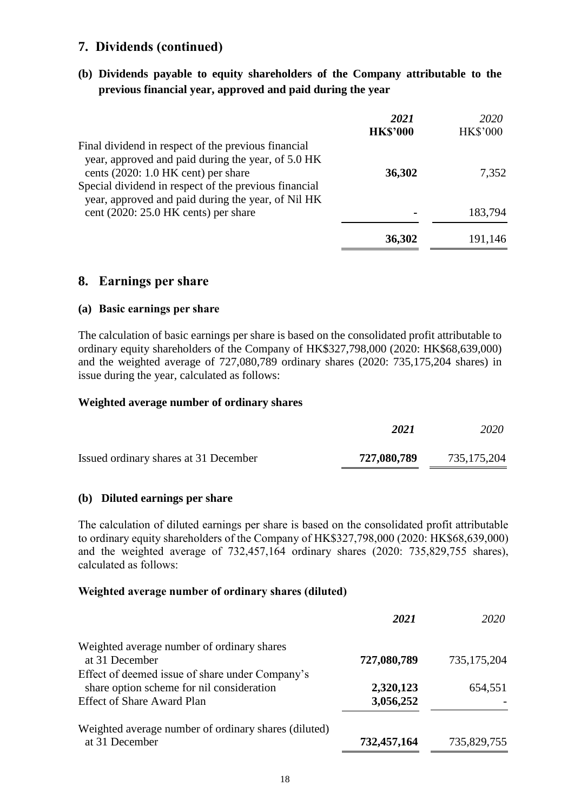## **7. Dividends (continued)**

**(b) Dividends payable to equity shareholders of the Company attributable to the previous financial year, approved and paid during the year**

|                                                                                                                                                      | 2021<br><b>HK\$'000</b> | 2020<br><b>HK\$'000</b> |
|------------------------------------------------------------------------------------------------------------------------------------------------------|-------------------------|-------------------------|
| Final dividend in respect of the previous financial<br>year, approved and paid during the year, of 5.0 HK                                            |                         |                         |
| cents $(2020: 1.0$ HK cent) per share<br>Special dividend in respect of the previous financial<br>year, approved and paid during the year, of Nil HK | 36,302                  | 7,352                   |
| cent $(2020: 25.0$ HK cents) per share                                                                                                               |                         | 183,794                 |
|                                                                                                                                                      | 36,302                  | 191,146                 |

### **8. Earnings per share**

#### **(a) Basic earnings per share**

The calculation of basic earnings per share is based on the consolidated profit attributable to ordinary equity shareholders of the Company of HK\$327,798,000 (2020: HK\$68,639,000) and the weighted average of 727,080,789 ordinary shares (2020: 735,175,204 shares) in issue during the year, calculated as follows:

#### **Weighted average number of ordinary shares**

|                                       | 2021        | 2020          |
|---------------------------------------|-------------|---------------|
| Issued ordinary shares at 31 December | 727,080,789 | 735, 175, 204 |

#### **(b) Diluted earnings per share**

The calculation of diluted earnings per share is based on the consolidated profit attributable to ordinary equity shareholders of the Company of HK\$327,798,000 (2020: HK\$68,639,000) and the weighted average of 732,457,164 ordinary shares (2020: 735,829,755 shares), calculated as follows:

#### **Weighted average number of ordinary shares (diluted)**

|                                                                                              | 2021        | 2020        |
|----------------------------------------------------------------------------------------------|-------------|-------------|
| Weighted average number of ordinary shares<br>at 31 December                                 | 727,080,789 | 735,175,204 |
| Effect of deemed issue of share under Company's<br>share option scheme for nil consideration | 2,320,123   | 654,551     |
| <b>Effect of Share Award Plan</b>                                                            | 3,056,252   |             |
| Weighted average number of ordinary shares (diluted)<br>at 31 December                       | 732,457,164 | 735,829,755 |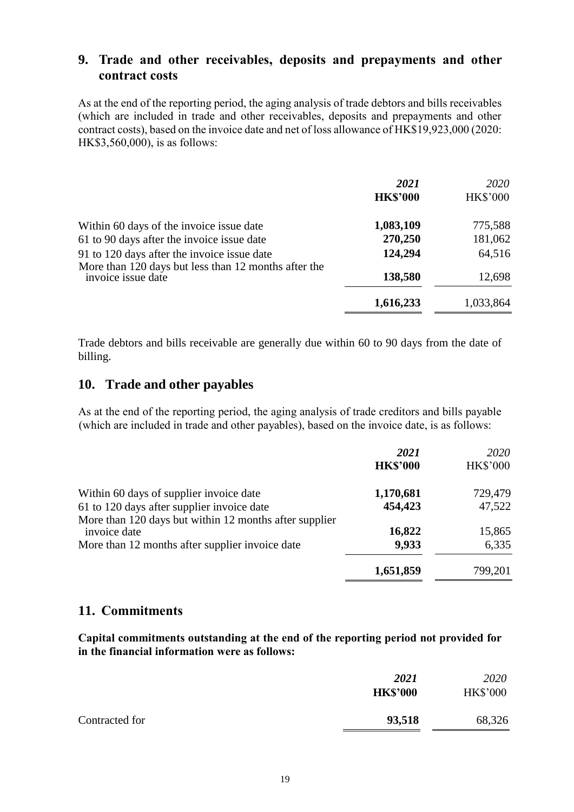## **9. Trade and other receivables, deposits and prepayments and other contract costs**

As at the end of the reporting period, the aging analysis of trade debtors and bills receivables (which are included in trade and other receivables, deposits and prepayments and other contract costs), based on the invoice date and net of loss allowance of HK\$19,923,000 (2020: HK\$3,560,000), is as follows:

|                                                                            | 2021<br><b>HK\$'000</b> | 2020<br><b>HK\$'000</b> |
|----------------------------------------------------------------------------|-------------------------|-------------------------|
| Within 60 days of the invoice issue date                                   | 1,083,109               | 775,588                 |
| 61 to 90 days after the invoice issue date                                 | 270,250                 | 181,062                 |
| 91 to 120 days after the invoice issue date                                | 124,294                 | 64,516                  |
| More than 120 days but less than 12 months after the<br>invoice issue date | 138,580                 | 12,698                  |
|                                                                            | 1,616,233               | 1,033,864               |

Trade debtors and bills receivable are generally due within 60 to 90 days from the date of billing.

## **10. Trade and other payables**

As at the end of the reporting period, the aging analysis of trade creditors and bills payable (which are included in trade and other payables), based on the invoice date, is as follows:

|                                                        | 2021<br><b>HK\$'000</b> | 2020<br><b>HK\$'000</b> |
|--------------------------------------------------------|-------------------------|-------------------------|
| Within 60 days of supplier invoice date                | 1,170,681               | 729,479                 |
| 61 to 120 days after supplier invoice date             | 454,423                 | 47,522                  |
| More than 120 days but within 12 months after supplier |                         |                         |
| invoice date                                           | 16,822                  | 15,865                  |
| More than 12 months after supplier invoice date        | 9,933                   | 6,335                   |
|                                                        | 1,651,859               | 799,201                 |

### **11. Commitments**

**Capital commitments outstanding at the end of the reporting period not provided for in the financial information were as follows:**

|                | 2021            | 2020<br><b>HK\$'000</b> |
|----------------|-----------------|-------------------------|
|                | <b>HK\$'000</b> |                         |
| Contracted for | 93,518          | 68,326                  |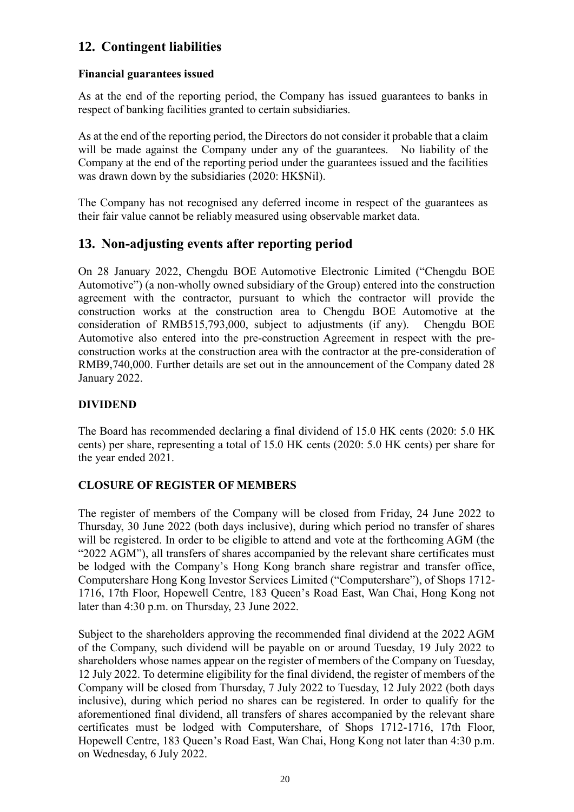## **12. Contingent liabilities**

### **Financial guarantees issued**

As at the end of the reporting period, the Company has issued guarantees to banks in respect of banking facilities granted to certain subsidiaries.

As at the end of the reporting period, the Directors do not consider it probable that a claim will be made against the Company under any of the guarantees. No liability of the Company at the end of the reporting period under the guarantees issued and the facilities was drawn down by the subsidiaries (2020: HK\$Nil).

The Company has not recognised any deferred income in respect of the guarantees as their fair value cannot be reliably measured using observable market data.

## **13. Non-adjusting events after reporting period**

On 28 January 2022, Chengdu BOE Automotive Electronic Limited ("Chengdu BOE Automotive") (a non-wholly owned subsidiary of the Group) entered into the construction agreement with the contractor, pursuant to which the contractor will provide the construction works at the construction area to Chengdu BOE Automotive at the consideration of RMB515,793,000, subject to adjustments (if any). Chengdu BOE Automotive also entered into the pre-construction Agreement in respect with the preconstruction works at the construction area with the contractor at the pre-consideration of RMB9,740,000. Further details are set out in the announcement of the Company dated 28 January 2022.

### **DIVIDEND**

The Board has recommended declaring a final dividend of 15.0 HK cents (2020: 5.0 HK cents) per share, representing a total of 15.0 HK cents (2020: 5.0 HK cents) per share for the year ended 2021.

## **CLOSURE OF REGISTER OF MEMBERS**

The register of members of the Company will be closed from Friday, 24 June 2022 to Thursday, 30 June 2022 (both days inclusive), during which period no transfer of shares will be registered. In order to be eligible to attend and vote at the forthcoming AGM (the "2022 AGM"), all transfers of shares accompanied by the relevant share certificates must be lodged with the Company's Hong Kong branch share registrar and transfer office, Computershare Hong Kong Investor Services Limited ("Computershare"), of Shops 1712- 1716, 17th Floor, Hopewell Centre, 183 Queen's Road East, Wan Chai, Hong Kong not later than 4:30 p.m. on Thursday, 23 June 2022.

Subject to the shareholders approving the recommended final dividend at the 2022 AGM of the Company, such dividend will be payable on or around Tuesday, 19 July 2022 to shareholders whose names appear on the register of members of the Company on Tuesday, 12 July 2022. To determine eligibility for the final dividend, the register of members of the Company will be closed from Thursday, 7 July 2022 to Tuesday, 12 July 2022 (both days inclusive), during which period no shares can be registered. In order to qualify for the aforementioned final dividend, all transfers of shares accompanied by the relevant share certificates must be lodged with Computershare, of Shops 1712-1716, 17th Floor, Hopewell Centre, 183 Queen's Road East, Wan Chai, Hong Kong not later than 4:30 p.m. on Wednesday, 6 July 2022.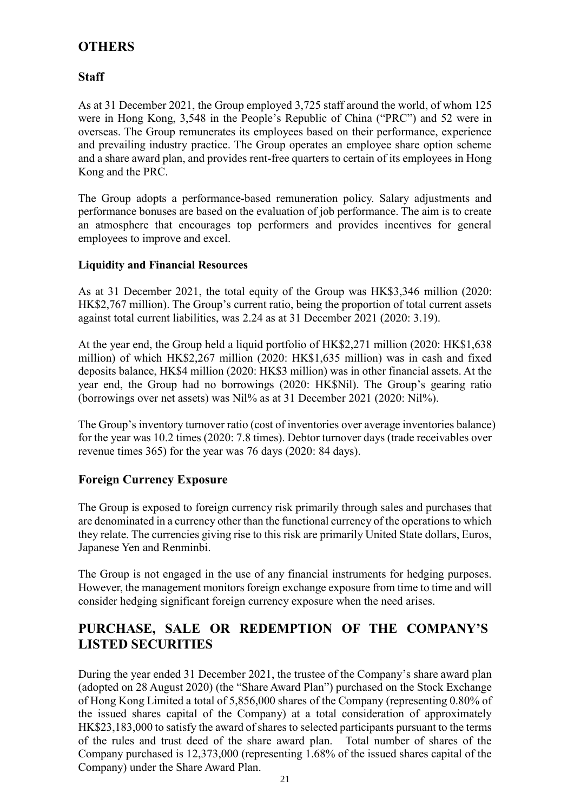# **OTHERS**

## **Staff**

As at 31 December 2021, the Group employed 3,725 staff around the world, of whom 125 were in Hong Kong, 3,548 in the People's Republic of China ("PRC") and 52 were in overseas. The Group remunerates its employees based on their performance, experience and prevailing industry practice. The Group operates an employee share option scheme and a share award plan, and provides rent-free quarters to certain of its employees in Hong Kong and the PRC.

The Group adopts a performance-based remuneration policy. Salary adjustments and performance bonuses are based on the evaluation of job performance. The aim is to create an atmosphere that encourages top performers and provides incentives for general employees to improve and excel.

### **Liquidity and Financial Resources**

As at 31 December 2021, the total equity of the Group was HK\$3,346 million (2020: HK\$2,767 million). The Group's current ratio, being the proportion of total current assets against total current liabilities, was 2.24 as at 31 December 2021 (2020: 3.19).

At the year end, the Group held a liquid portfolio of HK\$2,271 million (2020: HK\$1,638 million) of which HK\$2,267 million (2020: HK\$1,635 million) was in cash and fixed deposits balance, HK\$4 million (2020: HK\$3 million) was in other financial assets. At the year end, the Group had no borrowings (2020: HK\$Nil). The Group's gearing ratio (borrowings over net assets) was Nil% as at 31 December 2021 (2020: Nil%).

The Group's inventory turnover ratio (cost of inventories over average inventories balance) for the year was 10.2 times (2020: 7.8 times). Debtor turnover days (trade receivables over revenue times 365) for the year was 76 days (2020: 84 days).

## **Foreign Currency Exposure**

The Group is exposed to foreign currency risk primarily through sales and purchases that are denominated in a currency other than the functional currency of the operations to which they relate. The currencies giving rise to this risk are primarily United State dollars, Euros, Japanese Yen and Renminbi.

The Group is not engaged in the use of any financial instruments for hedging purposes. However, the management monitors foreign exchange exposure from time to time and will consider hedging significant foreign currency exposure when the need arises.

## **PURCHASE, SALE OR REDEMPTION OF THE COMPANY'S LISTED SECURITIES**

During the year ended 31 December 2021, the trustee of the Company's share award plan (adopted on 28 August 2020) (the "Share Award Plan") purchased on the Stock Exchange of Hong Kong Limited a total of 5,856,000 shares of the Company (representing 0.80% of the issued shares capital of the Company) at a total consideration of approximately HK\$23,183,000 to satisfy the award of shares to selected participants pursuant to the terms of the rules and trust deed of the share award plan. Total number of shares of the Company purchased is 12,373,000 (representing 1.68% of the issued shares capital of the Company) under the Share Award Plan.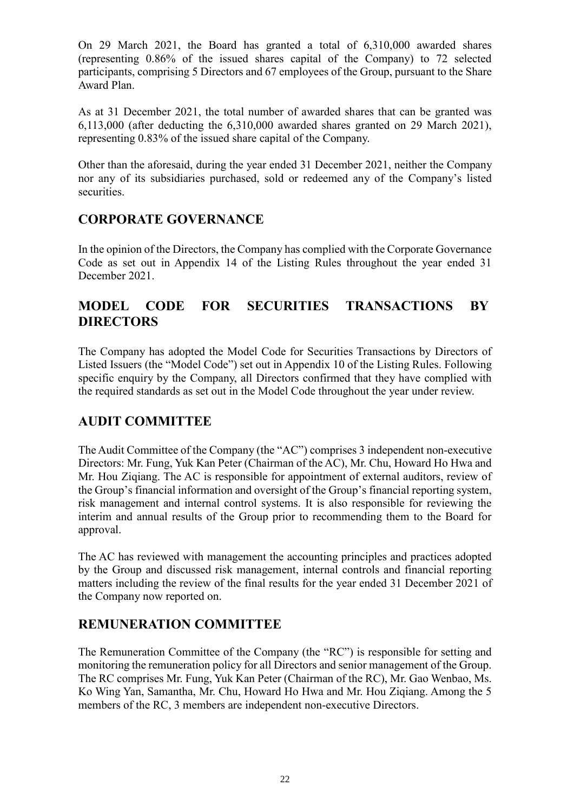On 29 March 2021, the Board has granted a total of 6,310,000 awarded shares (representing 0.86% of the issued shares capital of the Company) to 72 selected participants, comprising 5 Directors and 67 employees of the Group, pursuant to the Share Award Plan.

As at 31 December 2021, the total number of awarded shares that can be granted was 6,113,000 (after deducting the 6,310,000 awarded shares granted on 29 March 2021), representing 0.83% of the issued share capital of the Company.

Other than the aforesaid, during the year ended 31 December 2021, neither the Company nor any of its subsidiaries purchased, sold or redeemed any of the Company's listed securities.

## **CORPORATE GOVERNANCE**

In the opinion of the Directors, the Company has complied with the Corporate Governance Code as set out in Appendix 14 of the Listing Rules throughout the year ended 31 December 2021.

## **MODEL CODE FOR SECURITIES TRANSACTIONS BY DIRECTORS**

The Company has adopted the Model Code for Securities Transactions by Directors of Listed Issuers (the "Model Code") set out in Appendix 10 of the Listing Rules. Following specific enquiry by the Company, all Directors confirmed that they have complied with the required standards as set out in the Model Code throughout the year under review.

# **AUDIT COMMITTEE**

The Audit Committee of the Company (the "AC") comprises 3 independent non-executive Directors: Mr. Fung, Yuk Kan Peter (Chairman of the AC), Mr. Chu, Howard Ho Hwa and Mr. Hou Ziqiang. The AC is responsible for appointment of external auditors, review of the Group's financial information and oversight of the Group's financial reporting system, risk management and internal control systems. It is also responsible for reviewing the interim and annual results of the Group prior to recommending them to the Board for approval.

The AC has reviewed with management the accounting principles and practices adopted by the Group and discussed risk management, internal controls and financial reporting matters including the review of the final results for the year ended 31 December 2021 of the Company now reported on.

# **REMUNERATION COMMITTEE**

The Remuneration Committee of the Company (the "RC") is responsible for setting and monitoring the remuneration policy for all Directors and senior management of the Group. The RC comprises Mr. Fung, Yuk Kan Peter (Chairman of the RC), Mr. Gao Wenbao, Ms. Ko Wing Yan, Samantha, Mr. Chu, Howard Ho Hwa and Mr. Hou Ziqiang. Among the 5 members of the RC, 3 members are independent non-executive Directors.